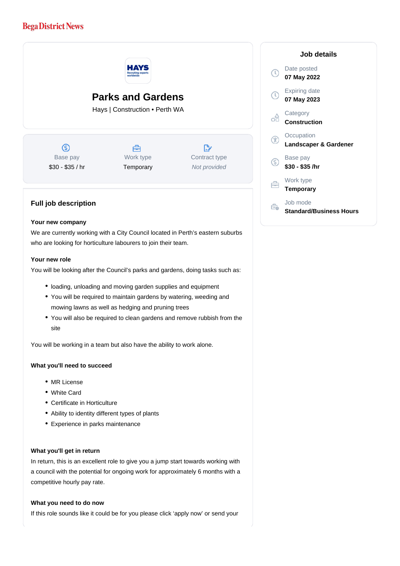# **Bega District News**



### **Your new company**

We are currently working with a City Council located in Perth's eastern suburbs who are looking for horticulture labourers to join their team.

## **Your new role**

You will be looking after the Council's parks and gardens, doing tasks such as:

- loading, unloading and moving garden supplies and equipment
- You will be required to maintain gardens by watering, weeding and mowing lawns as well as hedging and pruning trees
- You will also be required to clean gardens and remove rubbish from the site

You will be working in a team but also have the ability to work alone.

### **What you'll need to succeed**

- MR License
- White Card
- Certificate in Horticulture
- Ability to identity different types of plants
- Experience in parks maintenance

#### **What you'll get in return**

In return, this is an excellent role to give you a jump start towards working with a council with the potential for ongoing work for approximately 6 months with a competitive hourly pay rate.

#### **What you need to do now**

If this role sounds like it could be for you please click 'apply now' or send your

| Job details                         |
|-------------------------------------|
| Date posted<br>07 May 2022          |
| <b>Expiring date</b><br>07 May 2023 |
| Category<br>Construction            |
| Occupation<br>Landscaper & Gardener |
| Base pay<br>\$30 - \$35 /hr         |
| Work type<br><b>Temporary</b>       |
| Job mode<br>Standard/Business Hours |